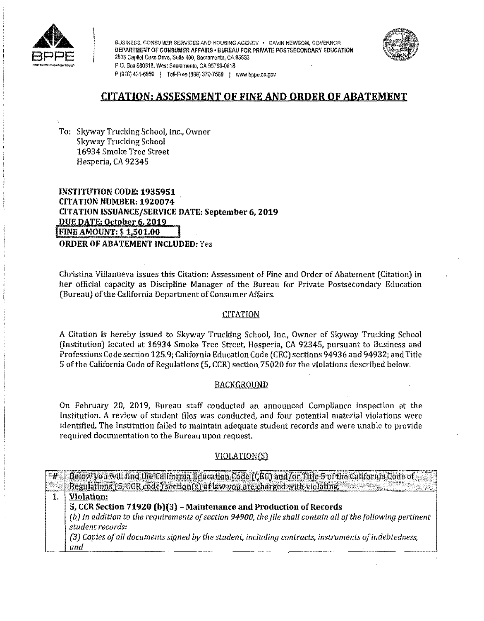

BUSINESS, CONSUMER SERVICES AND HOUSING AGENCY • GAVIN NEWSOM, GOVERNOR DEPARTMENT OF CONSUMER AFFAIRS • BUREAU FOR PRIVATE POSTSECONDARY EDUCATION<br>2535 Capitol Oaks Drive, Suite 400, Sacramento, CA 95833 P.O. Box 980818, West Sacramento, CA 95798-0818 P (916) 431-6959 | Toll-Free (888) 370-7589 | www.bppe.co.gov



# **CITATION; ASSESSMENT OF FINE AND ORDER OF ABATEMENT**

To: Skyway Trucking School, Inc., Owner Skyway Trucking School 16934 Smoke Tree Street Hesperia, CA 92345

**INSTITUTION CODE: 1935951 CITATION NUMBER: 1920074 CITATION ISSUANCE/SERVICE DATE: September 6, 2019 DUE DATE: October 6, 2019**<br>**FINE AMOUNT: \$ 1,501.00 ORDER OF ABATEMENT INCLUDED:** Yes

Christina Villanueva issues this Citation: Assessment of Pine and Order of Abatement (Citation) in her official capacity as Discipline Manager of the Bureau for Private Postsecondary Education (Bureau) of the California Department of Consumer Affairs.

# **CITATION**

A Citation is hereby issued to Skyway Trucking School, Inc., Owner of Skyway Trucking School (Institution) located at 16934 Smoke Tree Street, Hesperia, CA 92345, pursuant to Business and Professions Code section 125.9; California Education Code (CEC) sections 94936 and 94932; and Title 5 of the California Code of Regulations (5, CCR) section 75020 for the violations described below,

# BACKGROUND

On February 20, 2019, Bureau staff conducted an announced Compliance inspection at the Institution. **A** review of student files was conducted, and four potential material violations were identified. The Institution failed to maintain adequate student records and were unable to provide required documentation to the Bureau upon request.

# VIOLATION(S)

| ਿ#ਂ | Below you will find the California Education Code (CEC) and for Title 5 of the California Code of           |
|-----|-------------------------------------------------------------------------------------------------------------|
|     | Regulations (5, CGR code) section(s) of law you are charged with violating.                                 |
|     | <b>Violation:</b>                                                                                           |
|     | 5, CCR Section 71920 (b)(3) - Maintenance and Production of Records                                         |
|     | (b) In addition to the requirements of section 94900, the file shall contain all of the following pertinent |
|     | student records:                                                                                            |
|     | (3) Copies of all documents signed by the student, including contracts, instruments of indebtedness,        |
|     | and                                                                                                         |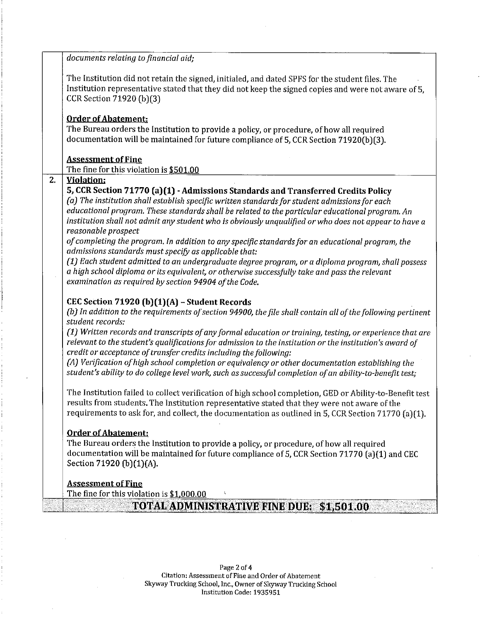|    | documents relating to financial aid;                                                                                                                                                                                               |
|----|------------------------------------------------------------------------------------------------------------------------------------------------------------------------------------------------------------------------------------|
|    | The Institution did not retain the signed, initialed, and dated SPFS for the student files. The<br>Institution representative stated that they did not keep the signed copies and were not aware of 5,<br>CCR Section 71920 (b)(3) |
|    | <b>Order of Abatement:</b>                                                                                                                                                                                                         |
|    | The Bureau orders the Institution to provide a policy, or procedure, of how all required                                                                                                                                           |
|    | documentation will be maintained for future compliance of 5, CCR Section 71920(b)(3).                                                                                                                                              |
|    | <b>Assessment of Fine</b>                                                                                                                                                                                                          |
|    | The fine for this violation is \$501.00                                                                                                                                                                                            |
| 2. | <b>Violation:</b>                                                                                                                                                                                                                  |
|    | 5, CCR Section 71770 (a)(1) - Admissions Standards and Transferred Credits Policy                                                                                                                                                  |
|    | (a) The institution shall establish specific written standards for student admissions for each<br>educational program. These standards shall be related to the particular educational program. An                                  |
|    | institution shall not admit any student who is obviously unqualified or who does not appear to have a                                                                                                                              |
|    | reasonable prospect                                                                                                                                                                                                                |
|    | of completing the program. In addition to any specific standards for an educational program, the                                                                                                                                   |
|    | admissions standards must specify as applicable that:                                                                                                                                                                              |
|    | (1) Each student admitted to an undergraduate degree program, or a diploma program, shall possess                                                                                                                                  |
|    | a high school diploma or its equivalent, or otherwise successfully take and pass the relevant<br>examination as required by section 94904 of the Code.                                                                             |
|    |                                                                                                                                                                                                                                    |
|    | CEC Section 71920 (b)(1)(A) - Student Records                                                                                                                                                                                      |
|    | (b) In addition to the requirements of section 94900, the file shall contain all of the following pertinent                                                                                                                        |
|    | student records:                                                                                                                                                                                                                   |
|    | (1) Written records and transcripts of any formal education or training, testing, or experience that are                                                                                                                           |
|    | relevant to the student's qualifications for admission to the institution or the institution's award of<br>credit or acceptance of transfer credits including the following:                                                       |
|    | (A) Verification of high school completion or equivalency or other documentation establishing the                                                                                                                                  |
|    | student's ability to do college level work, such as successful completion of an ability-to-benefit test;                                                                                                                           |
|    |                                                                                                                                                                                                                                    |
|    | The Institution failed to collect verification of high school completion, GED or Ability-to-Benefit test                                                                                                                           |
|    | results from students. The Institution representative stated that they were not aware of the                                                                                                                                       |
|    | requirements to ask for, and collect, the documentation as outlined in 5, CCR Section 71770 (a)(1).                                                                                                                                |
|    | <b>Order of Abatement:</b>                                                                                                                                                                                                         |
|    | The Bureau orders the Institution to provide a policy, or procedure, of how all required                                                                                                                                           |
|    | documentation will be maintained for future compliance of 5, CCR Section 71770 (a)(1) and CEC                                                                                                                                      |
|    | Section 71920 (b)(1)(A).                                                                                                                                                                                                           |
|    | <b>Assessment of Fine</b>                                                                                                                                                                                                          |
|    | The fine for this violation is \$1,000.00                                                                                                                                                                                          |
|    | TOTAL ADMINISTRATIVE FINE DUE: \$1,501.00                                                                                                                                                                                          |
|    |                                                                                                                                                                                                                                    |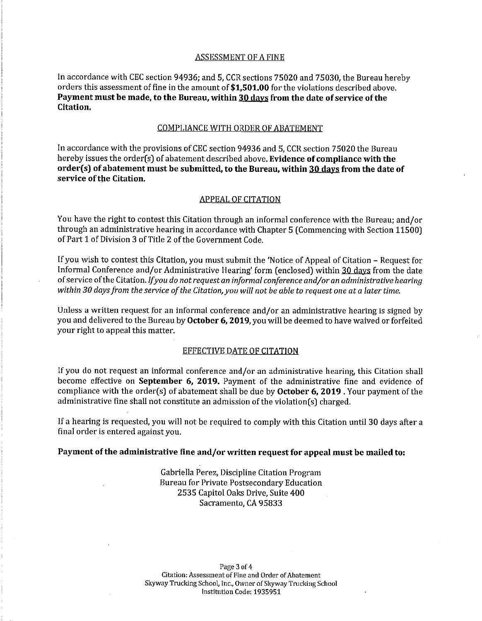#### ASSESSMENT OF A FINE

In accordance with CEC section 94936; and 5, CCR sections 75020 and 75030, the Bureau hereby orders this assessment of fine in the amount of **\$[1,501.00](https://1,501.00)** for the violations described above. **Payment must be made, to the Bureau, within 30 days from the date of service of the Citation.** 

#### COMPLIANCE WITH ORDER OF ABATEMENT

In accordance with the provisions of CEC section 94936 and 5, CCR section 75020 the Bureau hereby issues the order(s) of abatement described above. **Evidence of compliance with the order( s) of abatement must be submitted, to the Bureau, within 30 days from the date of service of the Citation.** 

#### APPEAL OF CITATION

You have the right to contest this Citation through an informal conference with the Bureau; and/or through an administrative hearing in accordance with Chapter 5 (Commencing with Section 11500) of Part 1 of Division 3 of Title 2 of the Government Code.

If you wish to contest this Citation, you must submit the 'Notice of Appeal of Citation - Request for Informal Conference and/or Administrative Hearing' form (enclosed) within 30 days from the date of service of the Citation. *If you do not request an informal conference and/or an administrative hearing*  within 30 days from the service of the Citation, you will not be able to request one at a later time.

Unless a written request for an informal conference and/or an administrative hearing is signed by you and delivered to the Bureau by **October 6, 2019,** you will be deemed to have waived or forfeited your right to appeal this matter.

#### EFFECTIVE DATE OF CITATION

If you do not request an informal conference and/or an administrative hearing, this Citation shall become effective on **September 6, 2019.** Payment of the administrative fine and evidence of compliance with the order(s) of abatement shall be due by **October 6, 2019** . Your payment of the administrative fine shall not constitute an admission of the violation(s) charged.

If a hearing is requested, you will not be required to comply with this Citation until 30 days after a final order is entered against you.

## **Payment of the administrative fine and/or written request for appeal must be mailed to:**

Gabriella Perez, Discipline Citation Program Bureau for Private Postsecondary Education 2535 Capitol Oaks Drive, Suite 400 Sacramento, CA 95833

Page 3 of 4 Citation: Assessment of Fine and Order of Abatement Skyway Trucking School, Inc., Owner of Skyway Trucking School Institution Code: 1935951